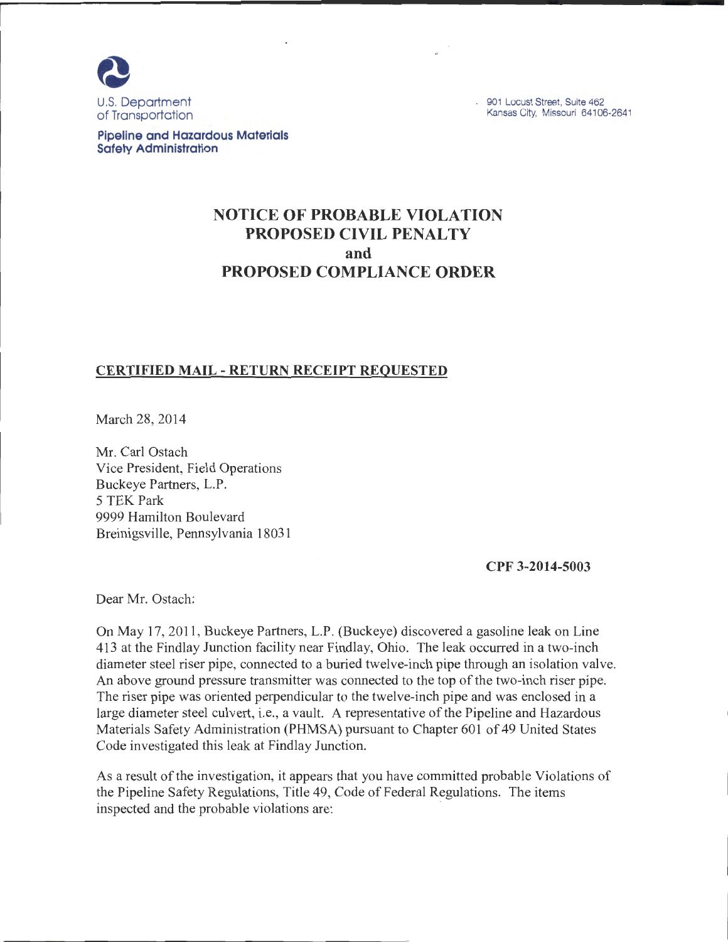

901 Locust Street, Suite 462 Kansas City, Missouri 64106-2641

**Pipeline and Hazardous Materials Safety Administration** 

# **NOTICE OF PROBABLE VIOLATION PROPOSED CIVIL PENALTY and PROPOSED COMPLIANCE ORDER**

## **CERTIFIED MAIL - RETURN RECEIPT REQUESTED**

March 28, 2014

Mr. Carl Ostach Vice President, Field Operations Buckeye Partners, L.P. 5 TEK Park 9999 Hamilton Boulevard Breinigsville, Pennsylvania 18031

**CPF 3-2014-5003** 

Dear Mr. Ostach:

On May 17, 2011 , Buckeye Partners, L.P. (Buckeye) discovered a gasoline leak on Line 413 at the Findlay Junction facility near Findlay, Ohio. The leak occurred in a two-inch diameter steel riser pipe, connected to a buried twelve-inch pipe through an isolation valve. An above ground pressure transmitter was connected to the top of the two-inch riser pipe. The riser pipe was oriented perpendicular to the twelve-inch pipe and was enclosed in a large diameter steel culvert, i.e., a vault. A representative of the Pipeline and Hazardous Materials Safety Administration (PHMSA) pursuant to Chapter 601 of 49 United States Code investigated this leak at Findlay Junction.

As a result of the investigation, it appears that you have committed probable Violations of the Pipeline Safety Regulations, Title 49, Code of Federal Regulations. The items inspected and the probable violations are: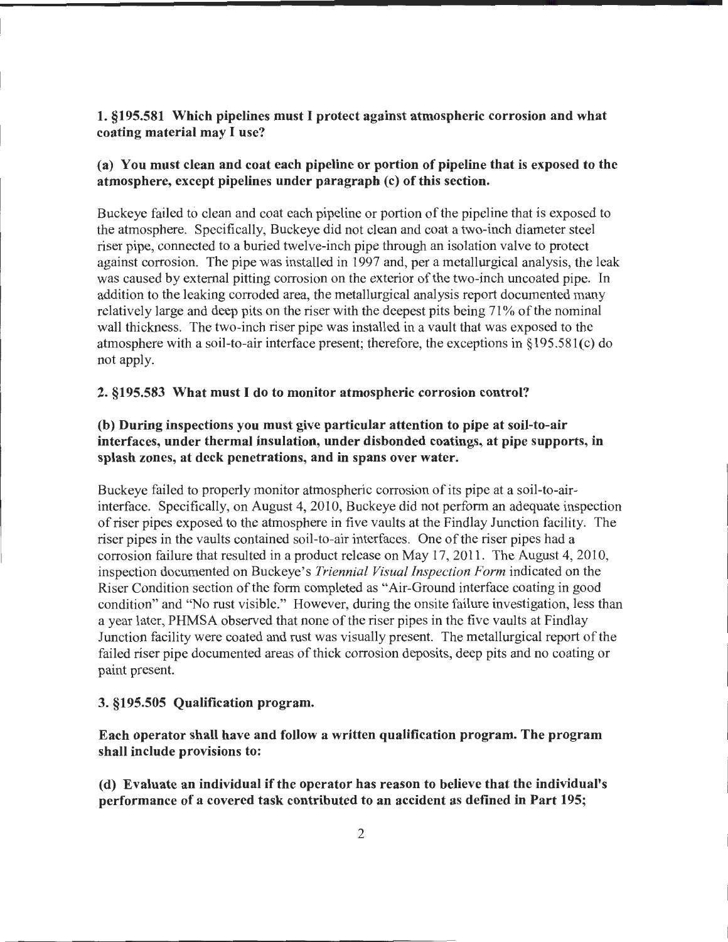## 1. §195.581 Which pipelines must I protect against atmospheric corrosion and what coating material may I use?

## (a) You must clean and coat each pipeline or portion of pipeline that is exposed to the atmosphere, except pipelines under paragraph (c) of this section.

Buckeye failed to clean and coat each pipeline or portion of the pipeline that is exposed to the atmosphere. Specifically, Buckeye did not clean and coat a two-inch diameter steel riser pipe, connected to a buried twelve-inch pipe through an isolation valve to protect against corrosion. The pipe was installed in 1997 and, per a metallurgical analysis, the leak was caused by external pitting corrosion on the exterior of the two-inch uncoated pipe. In addition to the leaking corroded area, the metallurgical analysis report documented many relatively large and deep pits on the riser with the deepest pits being 71% of the nominal wall thickness. The two-inch riser pipe was installed in a vault that was exposed to the atmosphere with a soil-to-air interface present; therefore, the exceptions in§ 195.581(c) do not apply.

#### 2. §195.583 What must I do to monitor atmospheric corrosion control?

## (b) During inspections you must give particular attention to pipe at soil-to-air interfaces, under thermal insulation, under disbonded coatings, at pipe supports, in splash zones, at deck penetrations, and in spans over water.

Buckeye failed to properly monitor atmospheric corrosion of its pipe at a soil-to-airinterface. Specifically, on August 4, 2010, Buckeye did not perform an adequate inspection of riser pipes exposed to the atmosphere in five vaults at the Findlay Junction facility. The riser pipes in the vaults contained soil-to-air interfaces. One of the riser pipes had a corrosion failure that resulted in a product release on May 17, 2011 . The August 4, 2010, inspection documented on Buckeye's *Triennial Visual Inspection Form* indicated on the Riser Condition section of the form completed as "Air-Ground interface coating in good condition" and "No rust visible." However, during the onsite failure investigation, less than a year later, PHMSA observed that none of the riser pipes in the five vaults at Findlay Junction facility were coated and rust was visually present. The metallurgical report of the failed riser pipe documented areas of thick corrosion deposits, deep pits and no coating or paint present.

#### 3. §195.505 Qualification program.

### Each operator shall have and follow a written qualification program. The program shall include provisions to:

(d) Evaluate an individual if the operator has reason to believe that the individual's performance of a covered task contributed to an accident as defined in Part 195;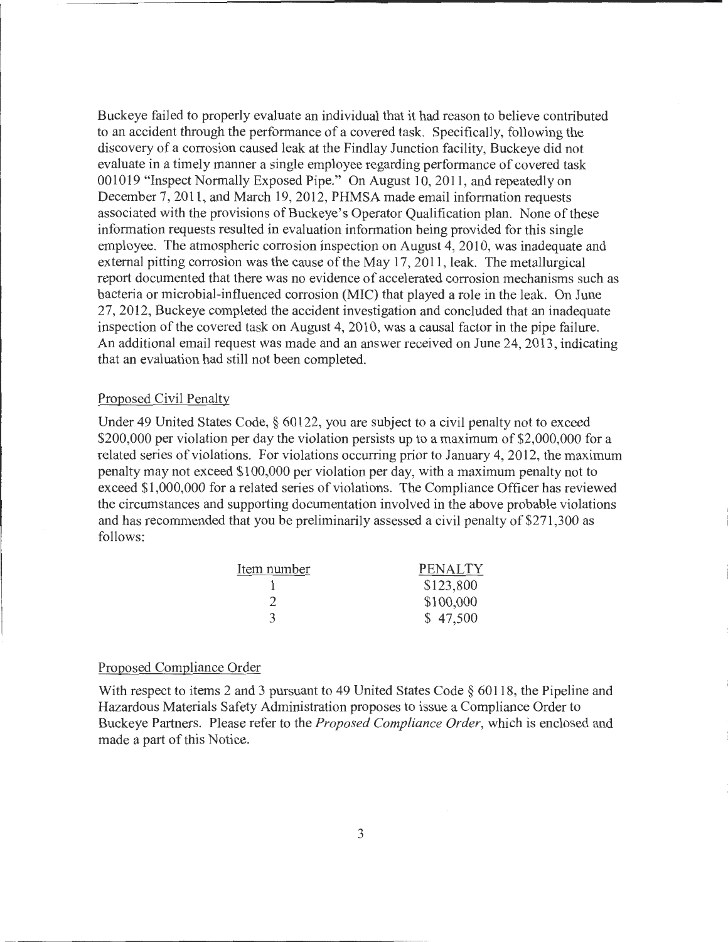Buckeye failed to properly evaluate an individual that it had reason to believe contributed to an accident through the performance of a covered task. Specifically, following the discovery of a corrosion caused leak at the Findlay Junction facility, Buckeye did not evaluate in a timely manner a single employee regarding performance of covered task 001019 "Inspect Normally Exposed Pipe." On August 10, 2011, and repeatedly on December 7, 2011, and March 19, 2012, PHMSA made email information requests associated with the provisions of Buckeye's Operator Qualification plan. None of these information requests resulted in evaluation information being provided for this single employee. The atmospheric corrosion inspection on August 4, 2010, was inadequate and external pitting corrosion was the cause of the May 17, 2011 , leak. The metallurgical report documented that there was no evidence of accelerated corrosion mechanisms such as bacteria or microbial-influenced corrosion (MIC) that played a role in the leak. On June 27, 2012, Buckeye completed the accident investigation and concluded that an inadequate inspection of the covered task on August 4, 2010, was a causal factor in the pipe failure. An additional email request was made and an answer received on June 24, 2013, indicating that an evaluation had still not been completed.

#### Proposed Civil Penalty

Under 49 United States Code, § 60122, you are subject to a civil penalty not to exceed \$200,000 per violation per day the violation persists up to a maximum of \$2,000,000 for a related series of violations. For violations occurring prior to January 4, 2012, the maximum penalty may not exceed \$100,000 per violation per day, with a maximum penalty not to exceed \$1,000,000 for a related series of violations. The Compliance Officer has reviewed the circumstances and supporting documentation involved in the above probable violations and has recommended that you be preliminarily assessed a civil penalty of \$271,300 as follows:

| Item number | <b>PENALTY</b> |
|-------------|----------------|
|             | \$123,800      |
|             | \$100,000      |
| З           | \$47,500       |

#### Proposed Compliance Order

With respect to items 2 and 3 pursuant to 49 United States Code § 60118, the Pipeline and Hazardous Materials Safety Administration proposes to issue a Compliance Order to Buckeye Partners. Please refer to the *Proposed Compliance Order,* which is enclosed and made a part of this Notice.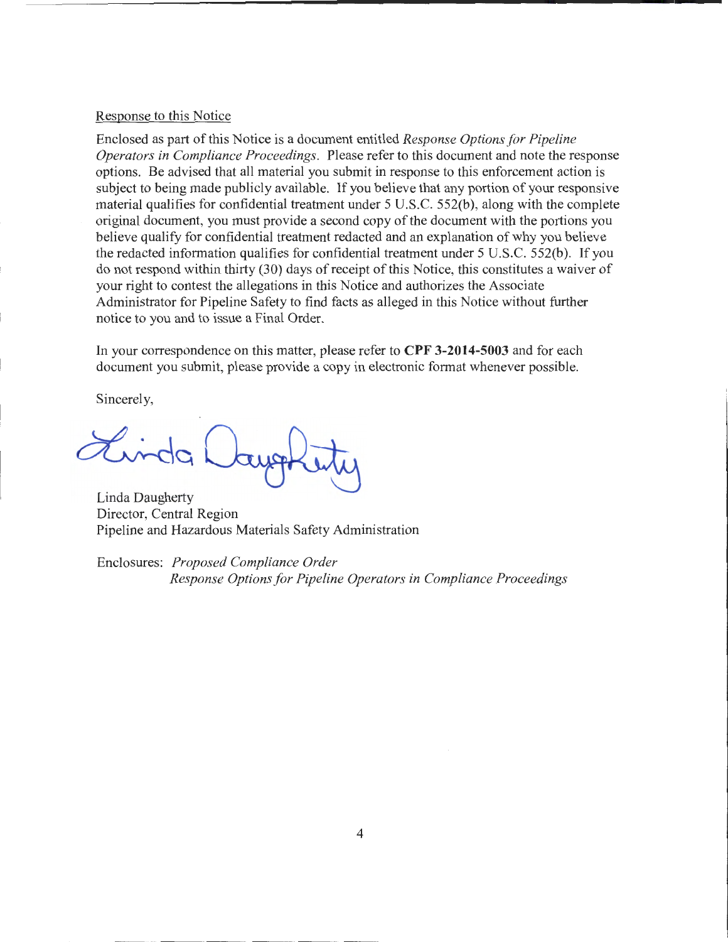#### Response to this Notice

Enclosed as part of this Notice is a document entitled *Response Options for Pipeline Operators in Compliance Proceedings.* Please refer to this document and note the response options. Be advised that all material you submit in response to this enforcement action is subject to being made publicly available. If you believe that any portion of your responsive material qualifies for confidential treatment under 5 U.S.C. 552(b), along with the complete original document, you must provide a second copy of the document with the portions you believe qualify for confidential treatment redacted and an explanation of why you believe the redacted information qualifies for confidential treatment under 5 U.S.C. 552(b). If you do not respond within thirty (30) days of receipt of this Notice, this constitutes a waiver of your right to contest the allegations in this Notice and authorizes the Associate Administrator for Pipeline Safety to find facts as alleged in this Notice without further notice to you and to issue a Final Order.

In your correspondence on this matter, please refer to **CPF 3-2014-5003** and for each document you submit, please provide a copy in electronic format whenever possible.

Sincerely,

Linda Laug

Linda Daugherty Director, Central Region Pipeline and Hazardous Materials Safety Administration

Enclosures: *Proposed Compliance Order Response Options for Pipeline Operators in Compliance Proceedings*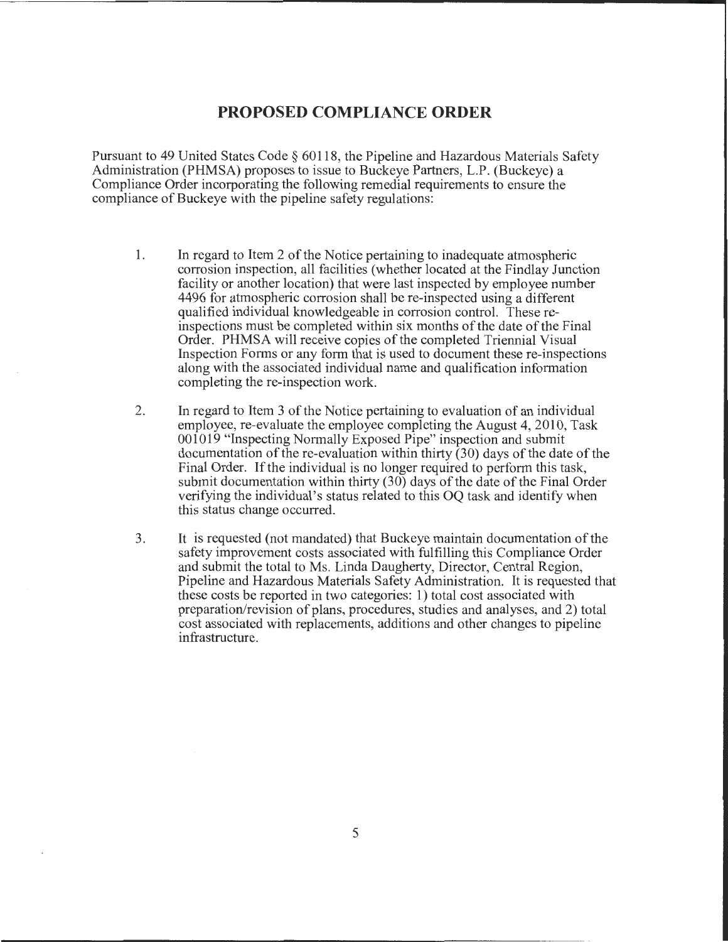# **PROPOSED COMPLIANCE ORDER**

Pursuant to 49 United States Code§ 60118, the Pipeline and Hazardous Materials Safety Administration (PHMSA) proposes to issue to Buckeye Partners, L.P. (Buckeye) a Compliance Order incorporating the following remedial requirements to ensure the compliance of Buckeye with the pipeline safety regulations:

- 1. In regard to Item 2 of the Notice pertaining to inadequate atmospheric corrosion inspection, all facilities (whether located at the Findlay Junction facility or another location) that were last inspected by employee number 4496 for atmospheric corrosion shall be re-inspected using a different qualified individual knowledgeable in corrosion control. These reinspections must be completed within six months of the date of the Final Order. PHMSA will receive copies of the completed Triennial Visual Inspection Forms or any form that is used to document these re-inspections along with the associated individual name and qualification information completing the re-inspection work.
- 2. In regard to Item 3 of the Notice pertaining to evaluation of an individual employee, re-evaluate the employee completing the August 4, 2010, Task 001019 "Inspecting Normally Exposed Pipe" inspection and submit documentation of the re-evaluation within thirty (30) days of the date of the Final Order. If the individual is no longer required to perform this task, submit documentation within thirty (30) days of the date of the Final Order verifying the individual's status related to this OQ task and identify when this status change occurred.
- 3. It is requested (not mandated) that Buckeye maintain documentation of the safety improvement costs associated with fulfilling this Compliance Order and submit the total to Ms. Linda Daugherty, Director, Central Region, Pipeline and Hazardous Materials Safety Administration. It is requested that these costs be reported in two categories: 1) total cost associated with preparation/revision of plans, procedures, studies and analyses, and 2) total cost associated with replacements, additions and other changes to pipeline infrastructure.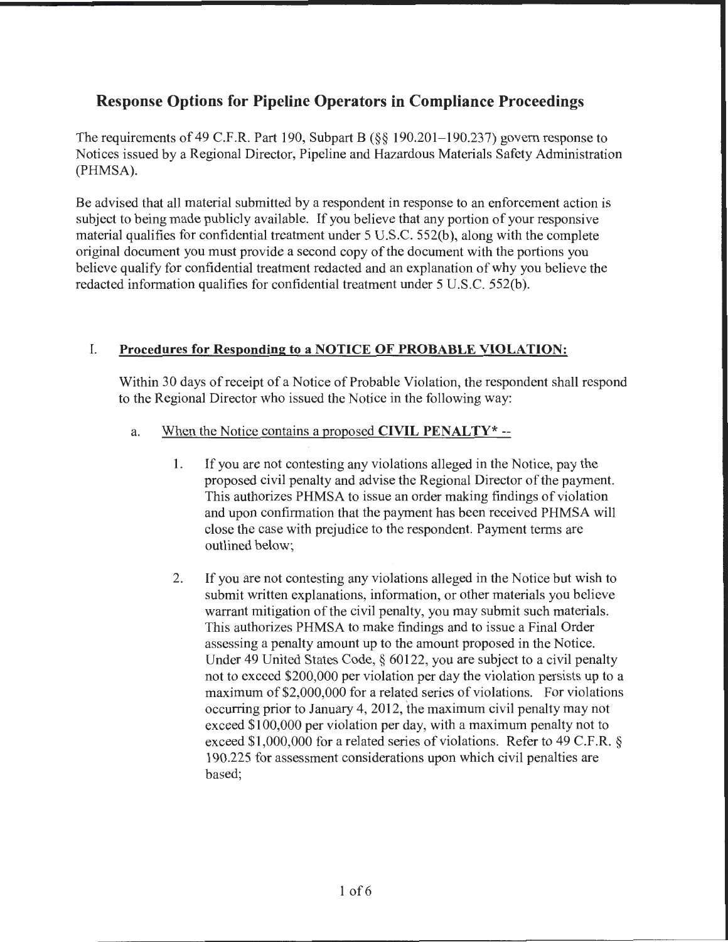# **Response Options for Pipeline Operators in Compliance Proceedings**

The requirements of 49 C.F.R. Part 190, Subpart B  $(\frac{6}{5})$  190.201–190.237) govern response to Notices issued by a Regional Director, Pipeline and Hazardous Materials Safety Administration (PHMSA).

Be advised that all material submitted by a respondent in response to an enforcement action is subject to being made publicly available. If you believe that any portion of your responsive material qualifies for confidential treatment under 5 U.S.C. 552(b), along with the complete original document you must provide a second copy of the document with the portions you believe qualify for confidential treatment redacted and an explanation of why you believe the redacted information qualifies for confidential treatment under 5 U.S.C. 552(b).

# I. **Procedures for Responding to a NOTICE OF PROBABLE VIOLATION:**

Within 30 days of receipt of a Notice of Probable Violation, the respondent shall respond to the Regional Director who issued the Notice in the following way:

- a. When the Notice contains a proposed **CIVIL PENALTY\*** --
	- 1. If you are not contesting any violations alleged in the Notice, pay the proposed civil penalty and advise the Regional Director of the payment. This authorizes PHMSA to issue an order making findings of violation and upon confirmation that the payment has been received PHMSA will close the case with prejudice to the respondent. Payment terms are outlined below;
	- 2. If you are not contesting any violations alleged in the Notice but wish to submit written explanations, information, or other materials you believe warrant mitigation of the civil penalty, you may submit such materials. This authorizes PHMSA to make findings and to issue a Final Order assessing a penalty amount up to the amount proposed in the Notice. Under 49 United States Code, § 60122, you are subject to a civil penalty not to exceed \$200,000 per violation per day the violation persists up to a maximum of \$2,000,000 for a related series of violations. For violations occurring prior to January 4, 2012, the maximum civil penalty may not exceed \$100,000 per violation per day, with a maximum penalty not to exceed \$1,000,000 for a related series of violations. Refer to 49 C.F.R. § 190.225 for assessment considerations upon which civil penalties are based;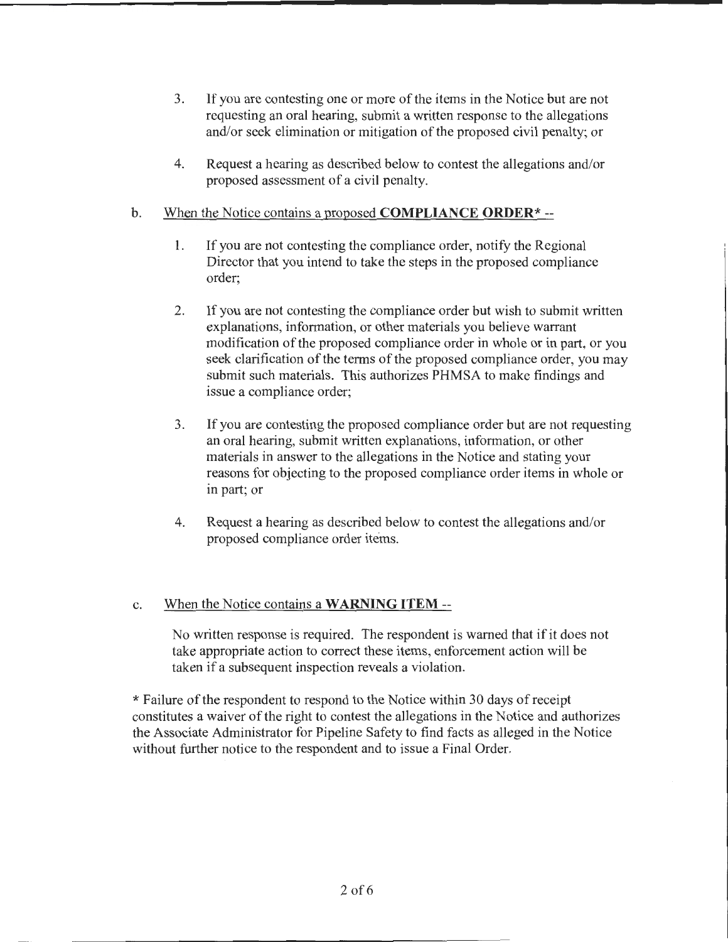- 3. If you are contesting one or more of the items in the Notice but are not requesting an oral hearing, submit a written response to the allegations and/or seek elimination or mitigation of the proposed civil penalty; or
- 4. Request a hearing as described below to contest the allegations and/or proposed assessment of a civil penalty.

## b. When the Notice contains a proposed **COMPLIANCE ORDER\*** --

- 1. If you are not contesting the compliance order, notify the Regional Director that you intend to take the steps in the proposed compliance order;
- 2. If you are not contesting the compliance order but wish to submit written explanations, information, or other materials you believe warrant modification of the proposed compliance order in whole or in part, or you seek clarification of the terms of the proposed compliance order, you may submit such materials. This authorizes PHMSA to make findings and issue a compliance order;
- 3. If you are contesting the proposed compliance order but are not requesting an oral hearing, submit written explanations, information, or other materials in answer to the allegations in the Notice and stating your reasons for objecting to the proposed compliance order items in whole or in part; or
- 4. Request a hearing as described below to contest the allegations and/or proposed compliance order items.

# c. When the Notice contains a **WARNING ITEM--**

No written response is required. The respondent is warned that if it does not take appropriate action to correct these items, enforcement action will be taken if a subsequent inspection reveals a violation.

\*Failure of the respondent to respond to the Notice within 30 days of receipt constitutes a waiver of the right to contest the allegations in the Notice and authorizes the Associate Administrator for Pipeline Safety to find facts as alleged in the Notice without further notice to the respondent and to issue a Final Order.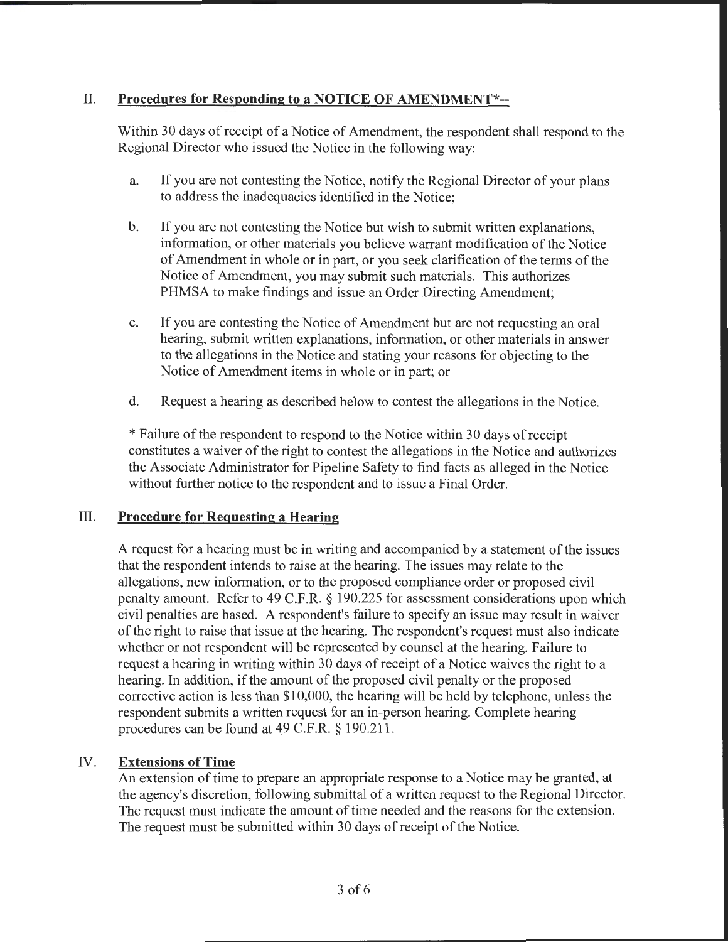# II. **Procedures for Responding to a NOTICE OF AMENDMENT\*--**

Within 30 days of receipt of a Notice of Amendment, the respondent shall respond to the Regional Director who issued the Notice in the following way:

- a. If you are not contesting the Notice, notify the Regional Director of your plans to address the inadequacies identified in the Notice;
- b. If you are not contesting the Notice but wish to submit written explanations, information, or other materials you believe warrant modification of the Notice of Amendment in whole or in part, or you seek clarification of the terms of the Notice of Amendment, you may submit such materials. This authorizes PHMSA to make findings and issue an Order Directing Amendment;
- c. If you are contesting the Notice of Amendment but are not requesting an oral hearing, submit written explanations, information, or other materials in answer to the allegations in the Notice and stating your reasons for objecting to the Notice of Amendment items in whole or in part; or
- d. Request a hearing as described below to contest the allegations in the Notice.

\* Failure of the respondent to respond to the Notice within 30 days of receipt constitutes a waiver of the right to contest the allegations in the Notice and authorizes the Associate Administrator for Pipeline Safety to find facts as alleged in the Notice without further notice to the respondent and to issue a Final Order.

### III. **Procedure for Requesting a Hearing**

A request for a hearing must be in writing and accompanied by a statement of the issues that the respondent intends to raise at the hearing. The issues may relate to the allegations, new information, or to the proposed compliance order or proposed civil penalty amount. Refer to 49 C.P.R.§ 190.225 for assessment considerations upon which civil penalties are based. A respondent's failure to specify an issue may result in waiver of the right to raise that issue at the hearing. The respondent's request must also indicate whether or not respondent will be represented by counsel at the hearing. Failure to request a hearing in writing within 30 days of receipt of a Notice waives the right to a hearing. In addition, if the amount of the proposed civil penalty or the proposed corrective action is less than \$10,000, the hearing will be held by telephone, unless the respondent submits a written request for an in-person hearing. Complete hearing procedures can be found at 49 C.P.R.§ 190.211.

# IV. **Extensions of Time**

An extension of time to prepare an appropriate response to a Notice may be granted, at the agency's discretion, following submittal of a written request to the Regional Director. The request must indicate the amount of time needed and the reasons for the extension. The request must be submitted within 30 days of receipt of the Notice.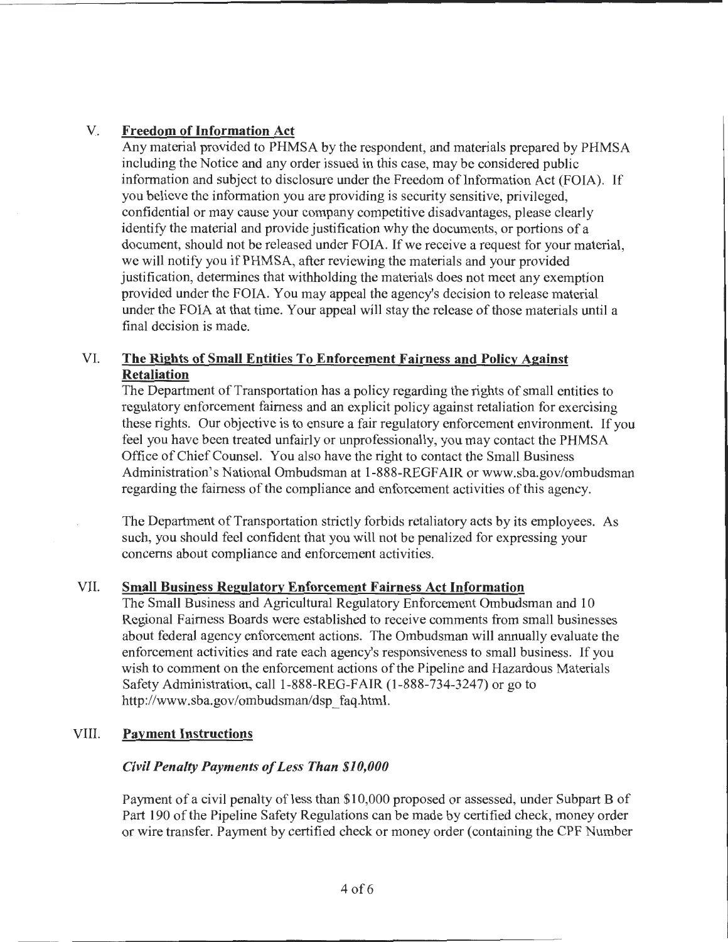## V. **Freedom of Information Act**

Any material provided to PHMSA by the respondent, and materials prepared by PHMSA including the Notice and any order issued in this case, may be considered public information and subject to disclosure under the Freedom of Information Act (FOIA). If you believe the information you are providing is security sensitive, privileged, confidential or may cause your company competitive disadvantages, please clearly identify the material and provide justification why the documents, or portions of a document, should not be released under FOIA. If we receive a request for your material, we will notify you if PHMSA, after reviewing the materials and your provided justification, determines that withholding the materials does not meet any exemption provided under the FOIA. You may appeal the agency's decision to release material under the FOIA at that time. Your appeal will stay the release of those materials until a final decision is made.

## VI. **The Rights of Small Entities To Enforcement Fairness and Policy Against Retaliation**

The Department of Transportation has a policy regarding the rights of small entities to regulatory enforcement fairness and an explicit policy against retaliation for exercising these rights. Our objective is to ensure a fair regulatory enforcement environment. If you feel you have been treated unfairly or unprofessionally, you may contact the PHMSA Office of Chief Counsel. You also have the right to contact the Small Business Administration's National Ombudsman at 1-888-REGFAIR or www.sba.gov/ombudsman regarding the fairness of the compliance and enforcement activities of this agency.

The Department of Transportation strictly forbids retaliatory acts by its employees. As such, you should feel confident that you will not be penalized for expressing your concerns about compliance and enforcement activities.

### VII. **Small Business Regulatory Enforcement Fairness Act Information**

The Small Business and Agricultural Regulatory Enforcement Ombudsman and **1** 0 Regional Fairness Boards were established to receive comments from small businesses about federal agency enforcement actions. The Ombudsman will annually evaluate the enforcement activities and rate each agency's responsiveness to small business. If you wish to comment on the enforcement actions of the Pipeline and Hazardous Materials Safety Administration, call 1-888-REG-FAIR (1-888-734-3247) or go to http://www.sba.gov/ombudsman/dsp\_faq.html.

### VIII. **Payment Instructions**

### *Civil Penalty Payments of Less Than \$10,000*

Payment of a civil penalty of less than \$10,000 proposed or assessed, under Subpart B of Part 190 of the Pipeline Safety Regulations can be made by certified check, money order or wire transfer. Payment by certified check or money order (containing the CPF Number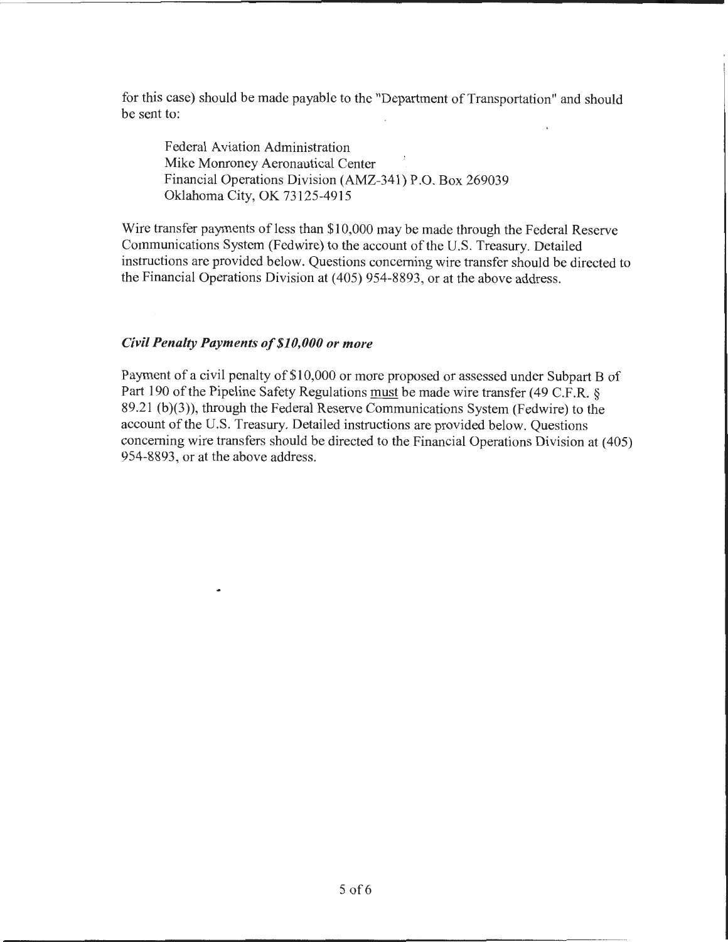for this case) should be made payable to the "Department of Transportation" and should be sent to:

Federal Aviation Administration Mike Monroney Aeronautical Center Financial Operations Division (AMZ-341) P.O. Box 269039 Oklahoma City, OK 73125-4915

Wire transfer payments of less than \$10,000 may be made through the Federal Reserve Communications System (Fedwire) to the account of the U.S. Treasury. Detailed instructions are provided below. Questions concerning wire transfer should be directed to the Financial Operations Division at (405) 954-8893, or at the above address.

#### *Civil Penalty Payments of\$10,000 or more*

۰

Payment of a civil penalty of \$10,000 or more proposed or assessed under Subpart B of Part 190 of the Pipeline Safety Regulations must be made wire transfer (49 C.F.R. § 89.21 (b)(3)), through the Federal Reserve Communications System (Fedwire) to the account of the U.S. Treasury. Detailed instructions are provided below. Questions concerning wire transfers should be directed to the Financial Operations Division at ( 405) 954-8893, or at the above address.